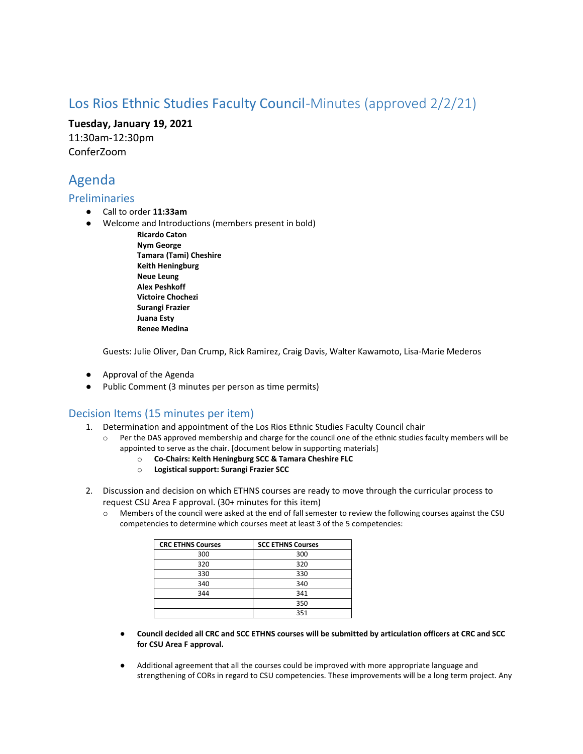# Los Rios Ethnic Studies Faculty Council-Minutes (approved 2/2/21)

**Tuesday, January 19, 2021** 11:30am-12:30pm

ConferZoom

# Agenda

### Preliminaries

- Call to order **11:33am**
- Welcome and Introductions (members present in bold)
	- **Ricardo Caton Nym George Tamara (Tami) Cheshire Keith Heningburg Neue Leung Alex Peshkoff Victoire Chochezi Surangi Frazier Juana Esty Renee Medina**

Guests: Julie Oliver, Dan Crump, Rick Ramirez, Craig Davis, Walter Kawamoto, Lisa-Marie Mederos

- Approval of the Agenda
- Public Comment (3 minutes per person as time permits)

## Decision Items (15 minutes per item)

- 1. Determination and appointment of the Los Rios Ethnic Studies Faculty Council chair
	- $\circ$  Per the DAS approved membership and charge for the council one of the ethnic studies faculty members will be appointed to serve as the chair. [document below in supporting materials]
		- o **Co-Chairs: Keith Heningburg SCC & Tamara Cheshire FLC**
		- o **Logistical support: Surangi Frazier SCC**
- 2. Discussion and decision on which ETHNS courses are ready to move through the curricular process to request CSU Area F approval. (30+ minutes for this item)
	- o Members of the council were asked at the end of fall semester to review the following courses against the CSU competencies to determine which courses meet at least 3 of the 5 competencies:

| <b>CRC ETHNS Courses</b> | <b>SCC ETHNS Courses</b> |
|--------------------------|--------------------------|
| 300                      | 300                      |
| 320                      | 320                      |
| 330                      | 330                      |
| 340                      | 340                      |
| 344                      | 341                      |
|                          | 350                      |
|                          | 351                      |

- **Council decided all CRC and SCC ETHNS courses will be submitted by articulation officers at CRC and SCC for CSU Area F approval.**
- Additional agreement that all the courses could be improved with more appropriate language and strengthening of CORs in regard to CSU competencies. These improvements will be a long term project. Any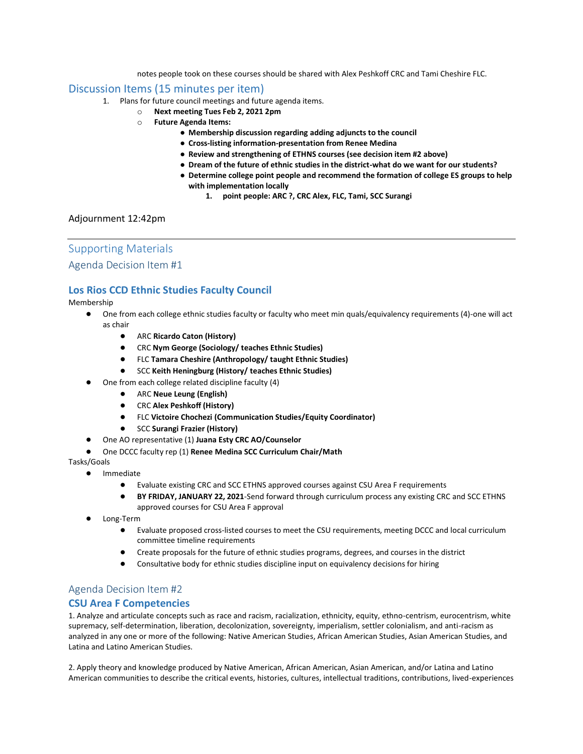notes people took on these courses should be shared with Alex Peshkoff CRC and Tami Cheshire FLC.

### Discussion Items (15 minutes per item)

- 1. Plans for future council meetings and future agenda items.
	- o **Next meeting Tues Feb 2, 2021 2pm**
	- o **Future Agenda Items:**
		- **Membership discussion regarding adding adjuncts to the council**
		- **Cross-listing information-presentation from Renee Medina**
		- **Review and strengthening of ETHNS courses (see decision item #2 above)**
		- **Dream of the future of ethnic studies in the district-what do we want for our students?**
		- **Determine college point people and recommend the formation of college ES groups to help with implementation locally**
			- **1. point people: ARC ?, CRC Alex, FLC, Tami, SCC Surangi**

#### Adjournment 12:42pm

## Supporting Materials

### Agenda Decision Item #1

### **Los Rios CCD Ethnic Studies Faculty Council**

Membership

- One from each college ethnic studies faculty or faculty who meet min quals/equivalency requirements (4)-one will act as chair
	- ARC **Ricardo Caton (History)**
	- CRC **Nym George (Sociology/ teaches Ethnic Studies)**
	- FLC **Tamara Cheshire (Anthropology/ taught Ethnic Studies)**
	- SCC **Keith Heningburg (History/ teaches Ethnic Studies)**
- One from each college related discipline faculty (4)
	- ARC **Neue Leung (English)**
	- CRC **Alex Peshkoff (History)**
	- FLC **Victoire Chochezi (Communication Studies/Equity Coordinator)**
	- SCC **Surangi Frazier (History)**
- One AO representative (1) **Juana Esty CRC AO/Counselor**
- One DCCC faculty rep (1) **Renee Medina SCC Curriculum Chair/Math**

Tasks/Goals

- **Immediate** 
	- Evaluate existing CRC and SCC ETHNS approved courses against CSU Area F requirements
	- **BY FRIDAY, JANUARY 22, 2021**-Send forward through curriculum process any existing CRC and SCC ETHNS approved courses for CSU Area F approval
- Long-Term
	- Evaluate proposed cross-listed courses to meet the CSU requirements, meeting DCCC and local curriculum committee timeline requirements
	- Create proposals for the future of ethnic studies programs, degrees, and courses in the district
	- Consultative body for ethnic studies discipline input on equivalency decisions for hiring

### Agenda Decision Item #2

#### **CSU Area F Competencies**

1. Analyze and articulate concepts such as race and racism, racialization, ethnicity, equity, ethno-centrism, eurocentrism, white supremacy, self-determination, liberation, decolonization, sovereignty, imperialism, settler colonialism, and anti-racism as analyzed in any one or more of the following: Native American Studies, African American Studies, Asian American Studies, and Latina and Latino American Studies.

2. Apply theory and knowledge produced by Native American, African American, Asian American, and/or Latina and Latino American communities to describe the critical events, histories, cultures, intellectual traditions, contributions, lived-experiences